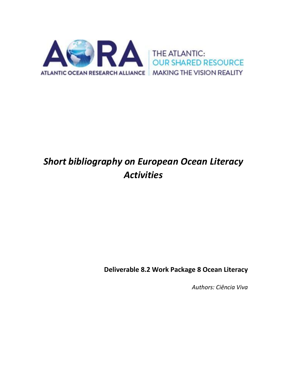

# *Short bibliography on European Ocean Literacy Activities*

**Deliverable 8.2 Work Package 8 Ocean Literacy**

*Authors: Ciência Viva*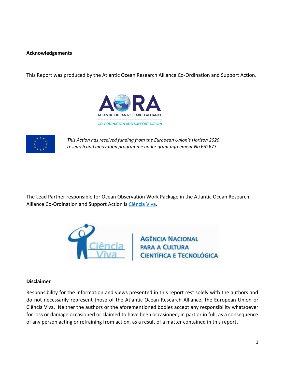# **Acknowledgements**

This Report was produced by the Atlantic Ocean Research Alliance Co-Ordination and Support Action.





*This Action has received funding from the European Union's Horizon 2020 research and innovation programme under grant agreement No* 652677*.*

The Lead Partner responsible for Ocean Observation Work Package in the Atlantic Ocean Research Alliance Co-Ordination and Support Action is [Ciência Viva.](http://www.cienciaviva.pt/home/index.asp?accao=changelang&lang=en)



### **Disclaimer**

Responsibility for the information and views presented in this report rest solely with the authors and do not necessarily represent those of the Atlantic Ocean Research Alliance, the European Union or Ciência Viva. Neither the authors or the aforementioned bodies accept any responsibility whatsoever for loss or damage occasioned or claimed to have been occasioned, in part or in full, as a consequence of any person acting or refraining from action, as a result of a matter contained in this report.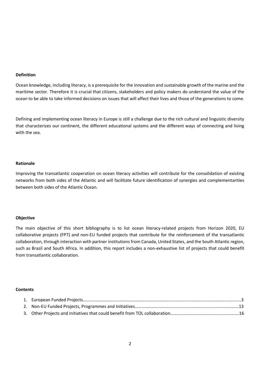#### **Definition**

Ocean knowledge, including literacy, is a prerequisite for the innovation and sustainable growth of the marine and the maritime sector. Therefore it is crucial that citizens, stakeholders and policy makers do understand the value of the ocean to be able to take informed decisions on issues that will affect their lives and those of the generations to come.

Defining and implementing ocean literacy in Europe is still a challenge due to the rich cultural and linguistic diversity that characterizes our continent, the different educational systems and the different ways of connecting and living with the sea.

#### **Rationale**

Improving the transatlantic cooperation on ocean literacy activities will contribute for the consolidation of existing networks from both sides of the Atlantic and will facilitate future identification of synergies and complementarities between both sides of the Atlantic Ocean.

### **Objective**

The main objective of this short bibliography is to list ocean literacy-related projects from Horizon 2020, EU collaborative projects (FP7) and non-EU funded projects that contribute for the reinforcement of the transatlantic collaboration, through interaction with partner institutions from Canada, United States, and the South Atlantic region, such as Brazil and South Africa. In addition, this report includes a non-exhaustive list of projects that could benefit from transatlantic collaboration.

### **Contents**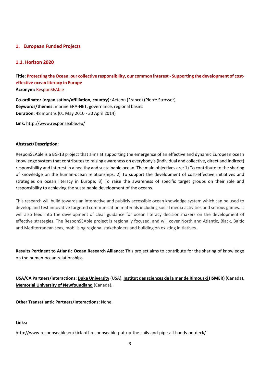# **1. European Funded Projects**

# **1.1. Horizon 2020**

**Title: Protecting the Ocean: our collective responsibility, our common interest - Supporting the development of costeffective ocean literacy in Europe Acronym:** [ResponSEAble](http://www.responseable.eu/)

**Co-ordinator (organisation/affiliation, country):** Acteon (France) (Pierre Strosser). **Keywords/themes:** marine ERA-NET, governance, regional basins **Duration:** 48 months (01 May 2010 - 30 April 2014)

**Link:** <http://www.responseable.eu/>

#### **Abstract/Description:**

ResponSEAble is a BG-13 project that aims at supporting the emergence of an effective and dynamic European ocean knowledge system that contributes to raising awareness on everybody's (individual and collective, direct and indirect) responsibility and interest in a healthy and sustainable ocean. The main objectives are: 1) To contribute to the sharing of knowledge on the human-ocean relationships; 2) To support the development of cost-effective initiatives and strategies on ocean literacy in Europe; 3) To raise the awareness of specific target groups on their role and responsibility to achieving the sustainable development of the oceans.

This research will build towards an interactive and publicly accessible ocean knowledge system which can be used to develop and test innovative targeted communication materials including social media activities and serious games. It will also feed into the development of clear guidance for ocean literacy decision makers on the development of effective strategies. The ResponSEAble project is regionally focused, and will cover North and Atlantic, Black, Baltic and Mediterranean seas, mobilising regional stakeholders and building on existing initiatives.

**Results Pertinent to Atlantic Ocean Research Alliance:** This project aims to contribute for the sharing of knowledge on the human-ocean relationships.

**USA/CA Partners/Interactions: [Duke University](https://duke.edu/)** (USA), **[Institut des sciences de la mer de Rimouski \(ISMER\)](http://www.ismer.ca/?lang=fr)** (Canada), **Memorial University of Newfoundland** (Canada).

**Other Transatlantic Partners/Interactions:** None.

#### **Links:**

<http://www.responseable.eu/kick-off-responseable-put-up-the-sails-and-pipe-all-hands-on-deck/>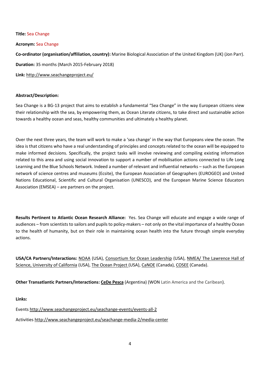## **Title:** [Sea Change](http://www.seachangeproject.eu/)

### **Acronym:** Sea Change

**Co-ordinator (organisation/affiliation, country):** Marine Biological Association of the United Kingdom (UK) (Jon Parr). **Duration:** 35 months (March 2015-February 2018)

**Link:** <http://www.seachangeproject.eu/>

# **Abstract/Description:**

Sea Change is a BG-13 project that aims to establish a fundamental "Sea Change" in the way European citizens view their relationship with the sea, by empowering them, as Ocean Literate citizens, to take direct and sustainable action towards a healthy ocean and seas, healthy communities and ultimately a healthy planet.

Over the next three years, the team will work to make a 'sea change' in the way that Europeans view the ocean. The idea is that citizens who have a real understanding of principles and concepts related to the ocean will be equipped to make informed decisions. Specifically, the project tasks will involve reviewing and compiling existing information related to this area and using social innovation to support a number of mobilisation actions connected to Life Long Learning and the Blue Schools Network. Indeed a number of relevant and influential networks – such as the European network of science centres and museums (Ecsite), the European Association of Geographers (EUROGEO) and United Nations Educational, Scientific and Cultural Organisation (UNESCO), and the European Marine Science Educators Association (EMSEA) – are partners on the project.

**Results Pertinent to Atlantic Ocean Research Alliance:** Yes. Sea Change will educate and engage a wide range of audiences – from scientists to sailors and pupils to policy-makers – not only on the vital importance of a healthy Ocean to the health of humanity, but on their role in maintaining ocean health into the future through simple everyday actions.

**USA/CA Partners/Interactions:** [NOAA](http://oceanexplorer.noaa.gov/) (USA), [Consortium for Ocean Leadership](http://oceanleadership.org/) (USA), [NMEA/ The Lawrence Hall of](http://www.lawrencehallofscience.org/)  [Science, University of California](http://www.lawrencehallofscience.org/) (USA)[, The Ocean Project](http://theoceanproject.org/) (USA)[, CaNOE](http://oceanliteracy.ca/) (Canada), [COSEE](http://www.cosee.net/) (Canada).

**Other Transatlantic Partners/Interactions: [CeDe Pesca](http://www.cedepesca.org.ar/)** (Argentina) (WON Latin America and the Caribean).

**Links:**

Events<http://www.seachangeproject.eu/seachange-events/events-all-2>

Activities<http://www.seachangeproject.eu/seachange-media-2/media-center>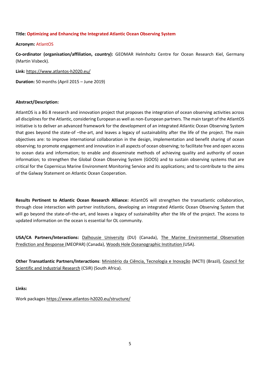# **Title: Optimizing and Enhancing the Integrated Atlantic Ocean Observing System**

#### **Acronym:** [AtlantOS](https://www.atlantos-h2020.eu/)

**Co-ordinator (organisation/affiliation, country):** GEOMAR Helmholtz Centre for Ocean Research Kiel, Germany (Martin Visbeck).

**Link:** <https://www.atlantos-h2020.eu/>

**Duration:** 50 months (April 2015 – June 2019)

#### **Abstract/Description:**

AtlantOS is a BG 8 research and innovation project that proposes the integration of ocean observing activities across all disciplines for the Atlantic, considering European as well as non-European partners. The main target of the AtlantOS initiative is to deliver an advanced framework for the development of an integrated Atlantic Ocean Observing System that goes beyond the state-of –the-art, and leaves a legacy of sustainability after the life of the project. The main objectives are: to improve international collaboration in the design, implementation and benefit sharing of ocean observing; to promote engagement and innovation in all aspects of ocean observing; to facilitate free and open access to ocean data and information; to enable and disseminate methods of achieving quality and authority of ocean information; to strengthen the Global Ocean Observing System (GOOS) and to sustain observing systems that are critical for the Copernicus Marine Environment Monitoring Service and its applications; and to contribute to the aims of the Galway Statement on Atlantic Ocean Cooperation.

**Results Pertinent to Atlantic Ocean Research Alliance:** AtlantOS will strengthen the transatlantic collaboration, through close interaction with partner institutions, developing an integrated Atlantic Ocean Observing System that will go beyond the state-of–the-art, and leaves a legacy of sustainability after the life of the project. The access to updated information on the ocean is essential for OL community.

**USA/CA Partners/Interactions:** [Dalhousie University](https://www.atlantos-h2020.eu/partner/dalhousie-university-dal/) (DU) (Canada), The [Marine Environmental Observation](https://www.atlantos-h2020.eu/partner/meopar-incorporated-meopar/)  [Prediction and Response \(MEOPAR\) \(Canada\),](https://www.atlantos-h2020.eu/partner/meopar-incorporated-meopar/) [Woods Hole Oceanographic Institution](https://www.atlantos-h2020.eu/partner/woods-hole-oceanographic-institution-whoi/) (USA).

**Other Transatlantic Partners/Interactions**: [Ministério da Ciência, Tecnologia e Inovação](https://www.atlantos-h2020.eu/partner/ministerio-da-ciencia-tecnologia-e-inovacao-mcti/) (MCTI) (Brazil), [Council for](https://www.atlantos-h2020.eu/partner/woods-hole-oceanographic-institution-whoi/)  [Scientific and Industrial Research](https://www.atlantos-h2020.eu/partner/woods-hole-oceanographic-institution-whoi/) (CSIR) (South Africa).

**Links:**

Work packages<https://www.atlantos-h2020.eu/structure/>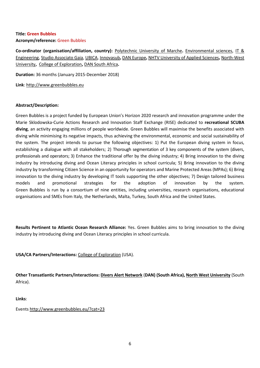# **Title: Green Bubbles Acronym/reference:** Green Bubbles

**Co-ordinator (organisation/affiliation, country):** [Polytechnic University of Marche](http://www.univpm.it/English/)**.** [Environmental sciences,](http://www.disva.univpm.it/) [IT &](http://www.dii.univpm.it/)  [Engineering,](http://www.dii.univpm.it/) [Studio Associato Gaia,](http://www.studioassociatogaia.com/) [UBICA,](http://www.ubicasrl.com/UBICAnew/Home.html) [Innovasub](http://www.innovasub.com/default.aspx)**,** [DAN Europe](https://www.daneurope.org/home)**,** [NHTV University of Applied Sciences](http://www.nhtv.nl/ENG/about-nhtv/organisation/academies/academy-for-digital-entertainment.html)**,** [North-West](http://www.nwu.ac.za/trees-staff)  [University](http://www.nwu.ac.za/trees-staff)**,** [College of Exploration](http://www.coexploration.org/)**,** [DAN South Africa](http://www.dansa.org/)**.**

**Duration:** 36 months (January 2015-December 2018)

**Link**: [http://www.greenbubbles.eu](http://www.greenbubbles.eu/)

# **Abstract/Description:**

Green Bubbles is a project funded by European Union's Horizon 2020 research and innovation programme under the Marie Sklodowska-Curie Actions Research and Innovation Staff Exchange (RISE) dedicated to **recreational SCUBA diving**, an activity engaging millions of people worldwide. Green Bubbles will maximise the benefits associated with diving while minimising its negative impacts, thus achieving the environmental, economic and social sustainability of the system. The project intends to pursue the following objectives: 1) Put the European diving system in focus, establishing a dialogue with all stakeholders; 2) Thorough segmentation of 3 key components of the system (divers, professionals and operators; 3) Enhance the traditional offer by the diving industry; 4) Bring innovation to the diving industry by introducing diving and Ocean Literacy principles in school curricula; 5) Bring innovation to the diving industry by transforming Citizen Science in an opportunity for operators and Marine Protected Areas (MPAs); 6) Bring innovation to the diving industry by developing IT tools supporting the other objectives; 7) Design tailored business models and promotional strategies for the adoption of innovation by the system. Green Bubbles is run by a consortium of nine entities, including universities, research organisations, educational organisations and SMEs from Italy, the Netherlands, Malta, Turkey, South Africa and the United States.

**Results Pertinent to Atlantic Ocean Research Alliance:** Yes. Green Bubbles aims to bring innovation to the diving industry by introducing diving and Ocean Literacy principles in school curricula.

**USA/CA Partners/Interactions:** [College of Exploration](http://www.coexploration.org/) (USA).

**Other Transatlantic Partners/Interactions: [Divers Alert Network](http://www.dansa.org/)** (**[DAN\) \(South Africa\)](http://www.dansa.org/), North West [University](http://www.nwu.ac.za/)** (South Africa).

**Links**:

Events<http://www.greenbubbles.eu/?cat=23>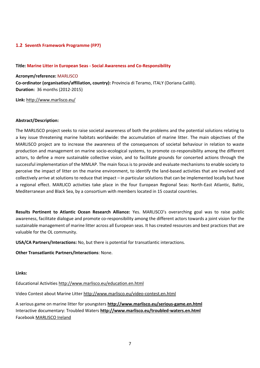# **1.2 Seventh Framework Programme (FP7)**

#### **Title: Marine Litter in European Seas - Social Awareness and Co-Responsibility**

**Acronym/reference:** MARLISCO **Co-ordinator (organisation/affiliation, country):** Provincia di Teramo, ITALY (Doriana Calilli). **Duration:** 36 months (2012-2015)

**Link:** [http://www.marlisco.eu/](http://www.marlisco.eu/index.en.html)

#### **Abstract/Description:**

The MARLISCO project seeks to raise societal awareness of both the problems and the potential solutions relating to a key issue threatening marine habitats worldwide: the accumulation of marine litter. The main objectives of the MARLISCO project are to increase the awareness of the consequences of societal behaviour in relation to waste production and management on marine socio-ecological systems, to promote co-responsibility among the different actors, to define a more sustainable collective vision, and to facilitate grounds for concerted actions through the successful implementation of the MMLAP. The main focus is to provide and evaluate mechanisms to enable society to perceive the impact of litter on the marine environment, to identify the land-based activities that are involved and collectively arrive at solutions to reduce that impact – in particular solutions that can be implemented locally but have a regional effect. MARLICO activities take place in the four European Regional Seas: North-East Atlantic, Baltic, Mediterranean and Black Sea, by a consortium with members located in 15 coastal countries.

**Results Pertinent to Atlantic Ocean Research Alliance:** Yes. MARLISCO's overarching goal was to raise public awareness, facilitate dialogue and promote co-responsibility among the different actors towards a joint vision for the sustainable management of marine litter across all European seas. It has created resources and best practices that are valuable for the OL community.

**USA/CA Partners/Interactions:** No, but there is potential for transatlantic interactions.

### **Other Transatlantic Partners/Interactions**: None.

**Links:**

Educational Activities<http://www.marlisco.eu/education.en.html>

Video Contest about Marine Litter<http://www.marlisco.eu/video-contest.en.html>

A serious game on marine litter for youngsters **<http://www.marlisco.eu/serious-game.en.html>** Interactive documentary: Troubled Waters **<http://www.marlisco.eu/troubled-waters.en.html>** Facebook [MARLISCO Ireland](https://www.facebook.com/MARLISCO.Ie)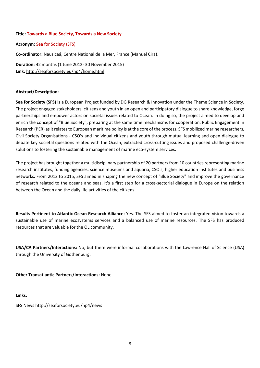## **Title: Towards a Blue Society, Towards a New Society***.*

#### **Acronym:** Sea for Society (SFS)

**Co-ordinator:** Nausicaá, Centre National de la Mer, France (Manuel Cira).

**Duration:** 42 months (1 June 2012- 30 November 2015) **Link:** <http://seaforsociety.eu/np4/home.html>

#### **Abstract/Description:**

**Sea for Society (SFS)** is a European Project funded by DG Research & Innovation under the Theme Science in Society. The project engaged stakeholders, citizens and youth in an open and participatory dialogue to share knowledge, forge partnerships and empower actors on societal issues related to Ocean. In doing so, the project aimed to develop and enrich the concept of "Blue Society", preparing at the same time mechanisms for cooperation. Public Engagement in Research (PER) as it relates to European maritime policy is at the core of the process. SFS mobilized marine researchers, Civil Society Organisations - CSO's and individual citizens and youth through mutual learning and open dialogue to debate key societal questions related with the Ocean, extracted cross-cutting issues and proposed challenge-driven solutions to fostering the sustainable management of marine eco-system services.

The project has brought together a multidisciplinary partnership of 20 partners from 10 countries representing marine research institutes, funding agencies, science museums and aquaria, CSO's, higher education institutes and business networks. From 2012 to 2015, SFS aimed in shaping the new concept of "Blue Society" and improve the governance of research related to the oceans and seas. It's a first step for a cross-sectorial dialogue in Europe on the relation between the Ocean and the daily life activities of the citizens.

**Results Pertinent to Atlantic Ocean Research Alliance:** Yes. The SFS aimed to foster an integrated vision towards a sustainable use of marine ecosystems services and a balanced use of marine resources. The SFS has produced resources that are valuable for the OL community.

**USA/CA Partners/Interactions:** No, but there were informal collaborations with the Lawrence Hall of Science (USA) through the University of Gothenburg.

**Other Transatlantic Partners/Interactions:** None.

**Links:**

SFS News<http://seaforsociety.eu/np4/news>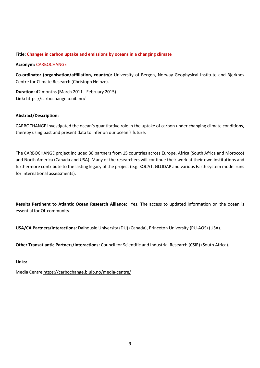# **Title: Changes in carbon uptake and emissions by oceans in a changing climate**

#### **Acronym:** CARBOCHANGE

**Co-ordinator (organisation/affiliation, country):** University of Bergen, Norway Geophysical Institute and Bjerknes Centre for Climate Research (Christoph Heinze).

**Duration:** 42 months (March 2011 - February 2015) **Link:** <https://carbochange.b.uib.no/>

#### **Abstract/Description:**

CARBOCHANGE investigated the ocean's quantitative role in the uptake of carbon under changing climate conditions, thereby using past and present data to infer on our ocean's future.

The CARBOCHANGE project included 30 partners from 15 countries across Europe, Africa (South Africa and Morocco) and North America (Canada and USA). Many of the researchers will continue their work at their own institutions and furthermore contribute to the lasting legacy of the project (e.g. SOCAT, GLODAP and various Earth system model runs for international assessments).

**Results Pertinent to Atlantic Ocean Research Alliance:** Yes. The access to updated information on the ocean is essential for OL community.

**USA/CA Partners/Interactions:** [Dalhousie University](http://www.dal.ca/) (DU) (Canada), [Princeton University](http://www.princeton.edu/) (PU-AOS) (USA).

**Other Transatlantic Partners/Interactions:** [Council for Scientific and Industrial Research \(CSIR\)](http://www.csir.co.za/) (South Africa).

# **Links:**

Media Centr[e https://carbochange.b.uib.no/media-centre/](https://carbochange.b.uib.no/media-centre/)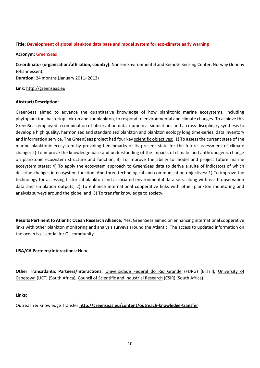# **Title: Development of global plankton data base and model system for eco-climate early warning**

#### **Acronym:** GreenSeas

**Co-ordinator (organisation/affiliation, country):** Nansen Environmental and Remote Sensing Center, Norway (Johnny Johannessen). **Duration:** 24 months (January 2011- 2013)

#### **Link:** [http://greenseas.eu](http://greenseas.eu/home)

#### **Abstract/Description:**

GreenSeas aimed to advance the quantitative knowledge of how planktonic marine ecosystems, including phytoplankton, bacterioplankton and zooplankton, to respond to environmental and climate changes. To achieve this GreenSeas employed a combination of observation data, numerical simulations and a cross-disciplinary synthesis to develop a high quality, harmonized and standardized plankton and plankton ecology long time-series, data inventory and information service. The GreenSeas project had four key scientific objectives: 1) To assess the current state of the marine planktonic ecosystem by providing benchmarks of its present state for the future assessment of climate change; 2) To improve the knowledge base and understanding of the impacts of climatic and anthropogenic change on planktonic ecosystem structure and function; 3) To improve the ability to model and project future marine ecosystem states; 4) To apply the ecosystem approach to GreenSeas data to derive a suite of indicators of which describe changes in ecosystem function. And three technological and communication objectives: 1) To improve the technology for accessing historical plankton and associated environmental data sets, along with earth observation data and simulation outputs; 2) To enhance international cooperative links with other plankton monitoring and analysis surveys around the globe; and 3) To transfer knowledge to society.

**Results Pertinent to Atlantic Ocean Research Alliance:** Yes. GreenSeas aimed on enhancing international cooperative links with other plankton monitoring and analysis surveys around the Atlantic. The access to updated information on the ocean is essential for OL community.

**USA/CA Partners/Interactions:** None.

**Other Transatlantic Partners/Interactions:** [Universidade Federal do Rio Grande](http://www.furg.br/) (FURG) (Brazil)**,** [University of](http://www.uct.ac.za/)  [Capetown](http://www.uct.ac.za/) (UCT) (South Africa)**,** [Council of Scientific and Industrial Research](http://www.csir.co.za/) (CSIR) (South Africa).

### **Links:**

Outreach & Knowledge Transfer **<http://greenseas.eu/content/outreach-knowledge-transfer>**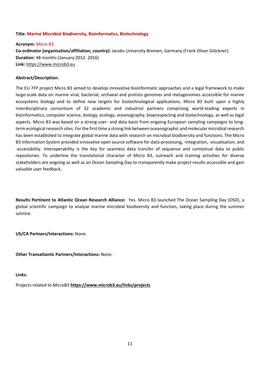# **Title: Marine Microbial Biodiversity, Bioinformatics, Biotechnology**

**Acronym:** Micro B3 **Co-ordinator (organisation/affiliation, country):** [Jacobs University Bremen,](https://www.microb3.eu/partners#partner_accordion-block-0) Germany (Frank Oliver Glöckner). **Duration:** 48 months (January 2012- 2016) **Link:** [https://www.microb3.eu](https://www.microb3.eu/)

## **Abstract/Description:**

The EU 7FP project Micro B3 aimed to develop innovative bioinformatic approaches and a legal framework to make large-scale data on marine viral, bacterial, archaeal and protists genomes and metagenomes accessible for marine ecosystems biology and to define new targets for biotechnological applications. Micro B3 built upon a highly interdisciplinary consortium of 32 academic and industrial partners comprising world-leading experts in bioinformatics, computer science, biology, ecology, oceanography, bioprospecting and biotechnology, as well as legal aspects. Micro B3 was based on a strong user- and data basis from ongoing European sampling campaigns to longterm ecological research sites. For the first time a strong link between oceanographic and molecular microbial research has been established to integrate global marine data with research on microbial biodiversity and functions. The Micro B3 Information System provided innovative open source software for data-processing, -integration, -visualisation, and -accessibility. Interoperability is the key for seamless data transfer of sequence and contextual data to public repositories. To underline the translational character of Micro B3, outreach and training activities for diverse stakeholders are ongoing as well as an Ocean Sampling Day to transparently make project results accessible and gain valuable user feedback.

**Results Pertinent to Atlantic Ocean Research Alliance:** Yes. Micro B3 launched The Ocean Sampling Day (OSD), a global scientific campaign to analyse marine microbial biodiversity and function, taking place during the summer solstice.

**US/CA Partners/Interactions:** None.

**Other Transatlantic Partners/Interactions:** None.

**Links:**

Projects related to MicroB3 **<https://www.microb3.eu/links/projects>**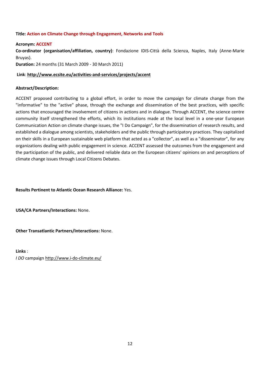# **Title: Action on Climate Change through Engagement, Networks and Tools**

#### **Acronym: ACCENT**

**Co-ordinator (organisation/affiliation, country)**: Fondazione IDIS-Città della Scienza, Naples, Italy (Anne-Marie Bruyas).

**Duration:** 24 months (31 March 2009 - 30 March 2011)

## **Link**: **<http://www.ecsite.eu/activities-and-services/projects/accent>**

#### **Abstract/Description:**

ACCENT proposed contributing to a global effort, in order to move the campaign for climate change from the "informative" to the "active" phase, through the exchange and dissemination of the best practices, with specific actions that encouraged the involvement of citizens in actions and in dialogue. Through ACCENT, the science centre community itself strengthened the efforts, which its institutions made at the local level in a one-year European Communication Action on climate change issues, the "I Do Campaign", for the dissemination of research results, and established a dialogue among scientists, stakeholders and the public through participatory practices. They capitalized on their skills in a European sustainable web platform that acted as a "collector", as well as a "disseminator", for any organizations dealing with public engagement in science. ACCENT assessed the outcomes from the engagement and the participation of the public, and delivered reliable data on the European citizens' opinions on and perceptions of climate change issues through Local Citizens Debates.

**Results Pertinent to Atlantic Ocean Research Alliance:** Yes.

**USA/CA Partners/Interactions:** None.

**Other Transatlantic Partners/Interactions:** None.

**Links** : *I DO* campaign <http://www.i-do-climate.eu/>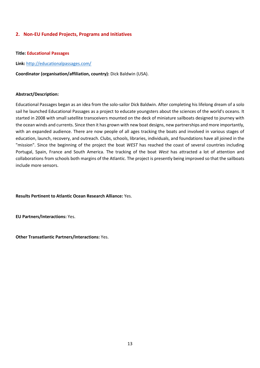# **2. Non-EU Funded Projects, Programs and Initiatives**

#### **Title: Educational Passages**

**Link:** <http://educationalpassages.com/>

**Coordinator (organisation/affiliation, country):** Dick Baldwin (USA).

#### **Abstract/Description:**

Educational Passages began as an idea from the solo-sailor Dick Baldwin. After completing his lifelong dream of a solo sail he launched Educational Passages as a project to educate youngsters about the sciences of the world's oceans. It started in 2008 with small satellite transceivers mounted on the deck of miniature sailboats designed to journey with the ocean winds and currents. Since then it has grown with new boat designs, new partnerships and more importantly, with an expanded audience. There are now people of all ages tracking the boats and involved in various stages of education, launch, recovery, and outreach. Clubs, schools, libraries, individuals, and foundations have all joined in the "mission". Since the beginning of the project the boat *WEST* has reached the coast of several countries including Portugal, Spain, France and South America. The tracking of the boat *West* has attracted a lot of attention and collaborations from schools both margins of the Atlantic. The project is presently being improved so that the sailboats include more sensors.

**Results Pertinent to Atlantic Ocean Research Alliance:** Yes.

**EU Partners/Interactions:** Yes.

**Other Transatlantic Partners/Interactions:** Yes.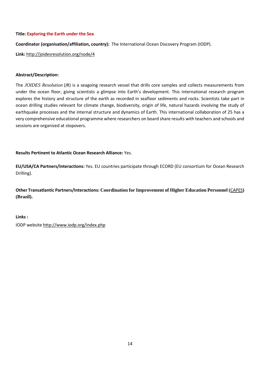# **Title: Exploring the Earth under the Sea**

**Coordinator (organisation/affiliation, country):** [The International Ocean Discovery Program \(IODP\).](http://www.iodp.org/about)

**Link:** <http://joidesresolution.org/node/4>

#### **Abstract/Description:**

The *JOIDES Resolution* (JR) is a seagoing research vessel that drills core samples and collects measurements from under the ocean floor, giving scientists a glimpse into Earth's development. This international research program explores the history and structure of the earth as recorded in seafloor sediments and rocks. Scientists take part in ocean drilling studies relevant for climate change, biodiversity, origin of life, natural hazards involving the study of earthquake processes and the internal structure and dynamics of Earth. This international collaboration of 25 has a very comprehensive educational programme where researchers on board share results with teachers and schools and sessions are organized at stopovers.

# **Results Pertinent to Atlantic Ocean Research Alliance:** Yes.

**EU/USA/CA Partners/Interactions:** Yes. EU countries participate through ECORD (EU consortium for Ocean Research Drilling).

**Other Transatlantic Partners/Interactions: Coordination for Improvement of Higher Education Personnel (**[CAPES](http://www.capes.gov.br/)**) (Brazil).**

**Links :** IODP websit[e http://www.iodp.org/index.php](http://www.iodp.org/index.php)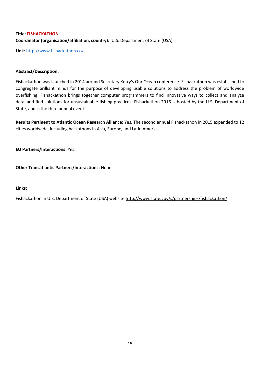# **Title**: **FISHACKATHON Coordinator (organisation/affiliation, country):** U.S. Department of State (USA).

**Link**:<http://www.fishackathon.co/>

# **Abstract/Description:**

Fishackathon was launched in 2014 around Secretary Kerry's Our Ocean conference. Fishackathon was established to congregate brilliant minds for the purpose of developing usable solutions to address the problem of worldwide overfishing. Fishackathon brings together computer programmers to find innovative ways to collect and analyze data, and find solutions for unsustainable fishing practices. Fishackathon 2016 is hosted by the U.S. Department of State, and is the third annual event.

**Results Pertinent to Atlantic Ocean Research Alliance:** Yes. The second annual Fishackathon in 2015 expanded to 12 cities worldwide, including hackathons in Asia, Europe, and Latin America.

**EU Partners/Interactions:** Yes.

**Other Transatlantic Partners/Interactions:** None.

### **Links:**

Fishackathon in U.S. Department of State (USA) website<http://www.state.gov/s/partnerships/fishackathon/>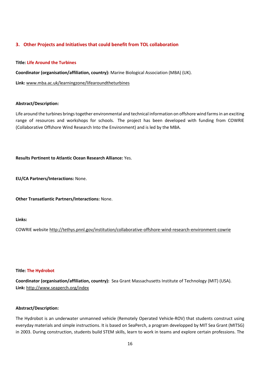# **3. Other Projects and Initiatives that could benefit from TOL collaboration**

# **Title: Life Around the Turbines**

**Coordinator (organisation/affiliation, country):** Marine Biological Association (MBA) (UK).

**Link:** [www.mba.ac.uk/learningzone/lifearoundtheturbines](http://www.mba.ac.uk/learningzone/lifearoundtheturbines/)

### **Abstract/Description:**

Life around the turbines brings together environmental and technical information on offshore wind farms in an exciting range of resources and workshops for schools. The project has been developed with funding from COWRIE (Collaborative Offshore Wind Research Into the Environment) and is led by the MBA.

**Results Pertinent to Atlantic Ocean Research Alliance:** Yes.

**EU/CA Partners/Interactions:** None.

**Other Transatlantic Partners/Interactions:** None.

**Links:**

COWRIE website<http://tethys.pnnl.gov/institution/collaborative-offshore-wind-research-environment-cowrie>

### **Title: The Hydrobot**

**Coordinator (organisation/affiliation, country):** Sea Grant Massachusetts Institute of Technology (MIT) (USA). **Link:** <http://www.seaperch.org/index>

### **Abstract/Description:**

The Hydrobot is an underwater unmanned vehicle (Remotely Operated Vehicle-ROV) that students construct using everyday materials and simple instructions. It is based on SeaPerch, a program developped by MIT Sea Grant (MITSG) in 2003. During construction, students build STEM skills, learn to work in teams and explore certain professions. The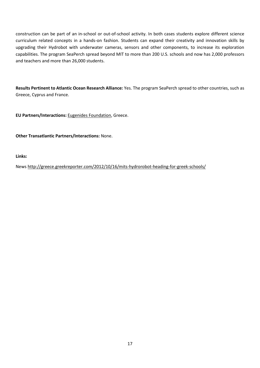construction can be part of an in-school or out-of-school activity. In both cases students explore different science curriculum related concepts in a hands-on fashion. Students can expand their creativity and innovation skills by upgrading their Hydrobot with underwater cameras, sensors and other components, to increase its exploration capabilities. The program SeaPerch spread beyond MIT to more than 200 U.S. schools and now has 2,000 professors and teachers and more than 26,000 students.

**Results Pertinent to Atlantic Ocean Research Alliance:** Yes. The program SeaPerch spread to other countries, such as Greece, Cyprus and France.

**EU Partners/Interactions:** Eugenides Foundation, Greece.

**Other Transatlantic Partners/Interactions:** None.

**Links:**

News<http://greece.greekreporter.com/2012/10/16/mits-hydrorobot-heading-for-greek-schools/>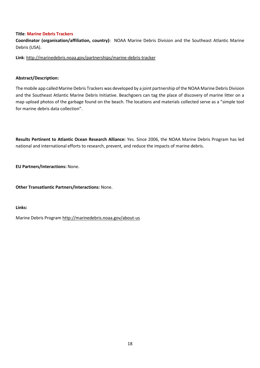# **Title**: **Marine Debris Trackers**

**Coordinator (organisation/affiliation, country):** NOAA Marine Debris Division and the Southeast Atlantic Marine Debris (USA).

**Link**:<http://marinedebris.noaa.gov/partnerships/marine-debris-tracker>

## **Abstract/Description:**

The mobile app called Marine Debris Trackers was developed by a joint partnership of the NOAA Marine Debris Division and the Southeast Atlantic Marine Debris Initiative. Beachgoers can tag the place of discovery of marine litter on a map upload photos of the garbage found on the beach. The locations and materials collected serve as a "simple tool for marine debris data collection".

**Results Pertinent to Atlantic Ocean Research Alliance:** Yes. Since 2006, the NOAA Marine Debris Program has led national and international efforts to research, prevent, and reduce the impacts of marine debris.

**EU Partners/Interactions:** None.

**Other Transatlantic Partners/Interactions:** None.

**Links:**

Marine Debris Program<http://marinedebris.noaa.gov/about-us>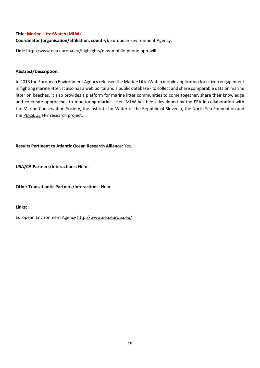# **Title**: **Marine LitterWatch (MLW)**

**Coordinator (organisation/affiliation, country):** European Environment Agency.

**Link**:<http://www.eea.europa.eu/highlights/new-mobile-phone-app-will>

## **Abstract/Description:**

In 2013 the European Environment Agency released the Marine LitterWatch mobile application for citizen engagement in fighting marine litter. It also has a web portal and a public database - to collect and share comparable data on marine litter on beaches. It also provides a platform for marine litter communities to come together, share their knowledge and co-create approaches to monitoring marine litter. MLW has been developed by the EEA in collaboration with the [Marine Conservation Society,](http://www.mcsuk.org/) the [Institute for Water of the Republic of Slovenia,](http://www.izvrs.si/?lang=en) the [North Sea Foundation](http://www.ecomare.nl/index.php?id=4512&L=2) and the **[PERSEUS](http://www.perseus-net.eu/)** FP7 research project.

**Results Pertinent to Atlantic Ocean Research Alliance:** Yes.

**USA/CA Partners/Interactions:** None.

**Other Transatlantic Partners/Interactions:** None.

**Links:**

European Environment Agenc[y http://www.eea.europa.eu/](http://www.eea.europa.eu/)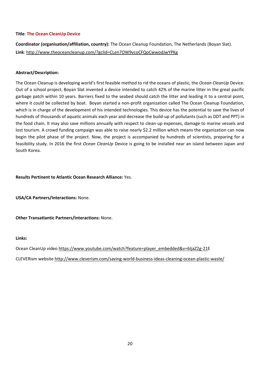## **Title**: **The Ocean CleanUp Device**

**Coordinator (organisation/affiliation, country):** The Ocean Cleanup Foundation, The Netherlands (Boyan Slat). **Link**:<http://www.theoceancleanup.com/?gclid=CLen7OW9vcoCFQoCwwodJwYPKg>

## **Abstract/Description:**

The Ocean Cleanup is developing world's first feasible method to rid the oceans of plastic, the *Ocean CleanUp* Device. Out of a school project, Boyan Slat invented a device intended to catch 42% of the marine litter in the great pacific garbage patch within 10 years. Barriers fixed to the seabed should catch the litter and leading it to a central point, where it could be collected by boat. Boyan started a non-profit organization called The Ocean Cleanup Foundation, which is in charge of the development of his intended technologies. This device has the potential to save the lives of hundreds of thousands of aquatic animals each year and decrease the build-up of pollutants (such as DDT and PPT) in the food chain. It may also save millions annually with respect to clean-up expenses, damage to marine vessels and lost tourism. A crowd funding campaign was able to raise nearly \$2.2 million which means the organization can now begin the pilot phase of the project. Now, the project is accompanied by hundreds of scientists, preparing for a feasibility study. In 2016 the first *Ocean CleanUp* Device is going to be installed near an island between Japan and South Korea.

**Results Pertinent to Atlantic Ocean Research Alliance:** Yes.

**USA/CA Partners/Interactions:** None.

**Other Transatlantic Partners/Interactions:** None.

### **Links:**

Ocean CleanUp video [https://www.youtube.com/watch?feature=player\\_embedded&v=6IjaZ2g-21E](https://www.youtube.com/watch?feature=player_embedded&v=6IjaZ2g-21)

CLEVERism website <http://www.cleverism.com/saving-world-business-ideas-cleaning-ocean-plastic-waste/>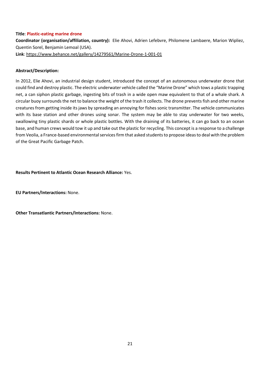## **Title**: **Plastic-eating marine drone**

**Coordinator (organisation/affiliation, country):** Elie Ahovi, Adrien Lefebvre, Philomene Lambaere, Marion Wipliez, Quentin Sorel, Benjamin Lemoal (USA). **Link**:<https://www.behance.net/gallery/14279561/Marine-Drone-1-001-01>

### **Abstract/Description:**

In 2012, Elie Ahovi, an industrial design student, introduced the concept of an autonomous underwater drone that could find and destroy plastic. The electric underwater vehicle called the "Marine Drone" which tows a plastic trapping net, a can siphon plastic garbage, ingesting bits of trash in a wide open maw equivalent to that of a whale shark. A circular buoy surrounds the net to balance the weight of the trash it collects. The drone prevents fish and other marine creatures from getting inside its jaws by spreading an annoying for fishes sonic transmitter. The vehicle communicates with its base station and other drones using sonar. The system may be able to stay underwater for two weeks, swallowing tiny plastic shards or whole plastic bottles. With the draining of its batteries, it can go back to an ocean base, and human crews would tow it up and take out the plastic for recycling. This concept is a response to a challenge from Veolia, a France-based environmental services firm that asked students to propose ideas to deal with the problem of the Great Pacific Garbage Patch.

**Results Pertinent to Atlantic Ocean Research Alliance:** Yes.

**EU Partners/Interactions:** None.

**Other Transatlantic Partners/Interactions:** None.